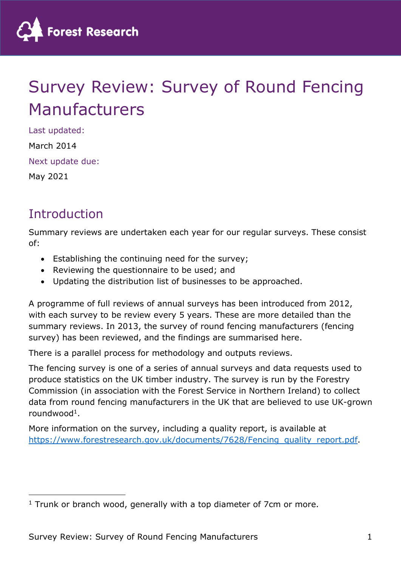

# Survey Review: Survey of Round Fencing Manufacturers

Last updated: March 2014 Next update due: May 2021

### **Introduction**

Summary reviews are undertaken each year for our regular surveys. These consist of:

- Establishing the continuing need for the survey;
- Reviewing the questionnaire to be used; and
- Updating the distribution list of businesses to be approached.

A programme of full reviews of annual surveys has been introduced from 2012, with each survey to be review every 5 years. These are more detailed than the summary reviews. In 2013, the survey of round fencing manufacturers (fencing survey) has been reviewed, and the findings are summarised here.

There is a parallel process for methodology and outputs reviews.

The fencing survey is one of a series of annual surveys and data requests used to produce statistics on the UK timber industry. The survey is run by the Forestry Commission (in association with the Forest Service in Northern Ireland) to collect data from round fencing manufacturers in the UK that are believed to use UK-grown roundwood<sup>1</sup>.

More information on the survey, including a quality report, is available at https://www.forestresearch.gov.uk/documents/7628/Fencing\_quality\_report.pdf.

<sup>&</sup>lt;sup>1</sup> Trunk or branch wood, generally with a top diameter of 7cm or more.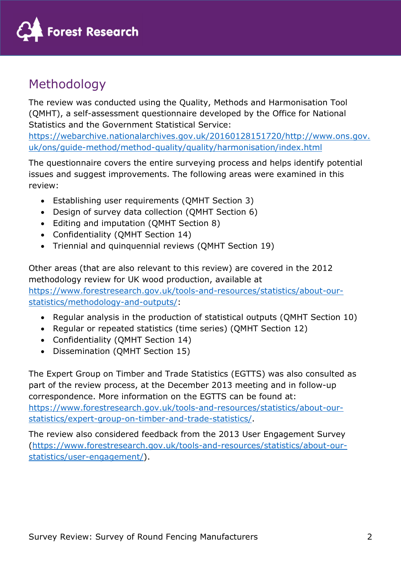

## Methodology

The review was conducted using the Quality, Methods and Harmonisation Tool (QMHT), a self-assessment questionnaire developed by the Office for National Statistics and the Government Statistical Service:

https://webarchive.nationalarchives.gov.uk/20160128151720/http://www.ons.gov. uk/ons/guide-method/method-quality/quality/harmonisation/index.html

The questionnaire covers the entire surveying process and helps identify potential issues and suggest improvements. The following areas were examined in this review:

- Establishing user requirements (QMHT Section 3)
- Design of survey data collection (QMHT Section 6)
- Editing and imputation (QMHT Section 8)
- Confidentiality (QMHT Section 14)
- Triennial and quinquennial reviews (QMHT Section 19)

Other areas (that are also relevant to this review) are covered in the 2012 methodology review for UK wood production, available at https://www.forestresearch.gov.uk/tools-and-resources/statistics/about-ourstatistics/methodology-and-outputs/:

- Regular analysis in the production of statistical outputs (QMHT Section 10)
- Regular or repeated statistics (time series) (QMHT Section 12)
- Confidentiality (QMHT Section 14)
- Dissemination (OMHT Section 15)

The Expert Group on Timber and Trade Statistics (EGTTS) was also consulted as part of the review process, at the December 2013 meeting and in follow-up correspondence. More information on the EGTTS can be found at: https://www.forestresearch.gov.uk/tools-and-resources/statistics/about-ourstatistics/expert-group-on-timber-and-trade-statistics/.

The review also considered feedback from the 2013 User Engagement Survey (https://www.forestresearch.gov.uk/tools-and-resources/statistics/about-ourstatistics/user-engagement/).